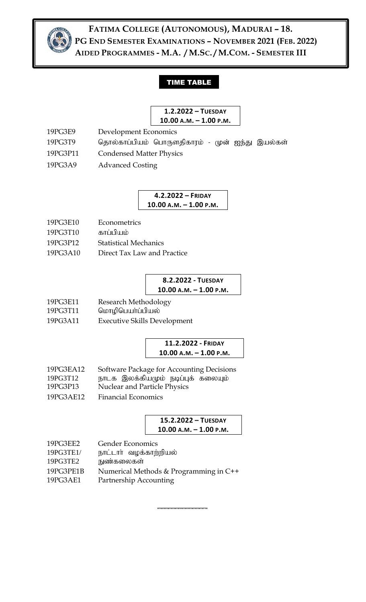

**FATIMA COLLEGE (AUTONOMOUS), MADURAI – 18. PG END SEMESTER EXAMINATIONS – NOVEMBER 2021 (FEB. 2022) AIDED PROGRAMMES - M.A. / M.SC. / M.COM. - SEMESTER III**

# TIME TABLE

#### **1.2.2022 – TUESDAY 10.00 A.M. – 1.00 P.M.**

- 19PG3E9 Development Economics 19PG3T9 தொல்காப்பியம் பொருளதிகாரம் - முன் ஐந்து இயல்கள் 19PG3P11 Condensed Matter Physics
- 19PG3A9 Advanced Costing

**4.2.2022 – FRIDAY 10.00 A.M. – 1.00 P.M.**

- 19PG3E10 Econometrics
- 19PG3T10 காப்பியம்
- 19PG3P12 Statistical Mechanics
- 19PG3A10 Direct Tax Law and Practice

# **8.2.2022 - TUESDAY 10.00 A.M. – 1.00 P.M.**

- 19PG3E11 Research Methodology
- 19PG3T11 வொழிபெயர்ப்பியல்
- 19PG3A11 Executive Skills Development

#### **11.2.2022 - FRIDAY 10.00 A.M. – 1.00 P.M.**

- 19PG3EA12 Software Package for Accounting Decisions 19PG3T12 நாடக இலக்கியமும் நடிப்புக் கலையும்
- 19PG3P13 Nuclear and Particle Physics
- 19PG3AE12 Financial Economics

| 15.2.2022 - TUESDAY      |  |
|--------------------------|--|
| $10.00 A.M. - 1.00 P.M.$ |  |

**\_\_\_\_\_\_\_\_\_\_\_\_\_\_**

- 
- 19PG3EE2 Gender Economics<br>19PG3TE1/ நாட்டார் வழக்காற் நாட்டார் வழக்காற்றியல் 19PG3TE2 நுண்கலைகள்
- 19PG3PE1B Numerical Methods & Programming in C++
- 19PG3AE1 Partnership Accounting